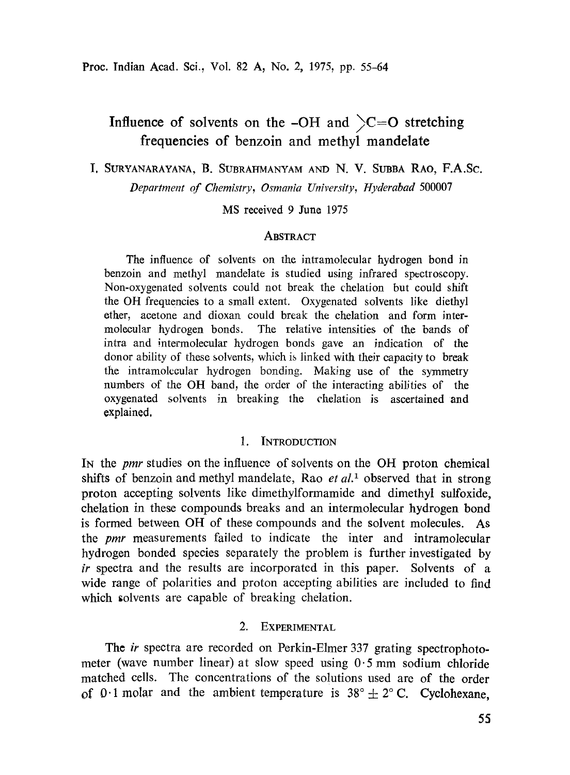# Influence of solvents on the -OH and  $\text{C}=O$  stretching frequeneies of benzoin and methyl mandelate

I, **SURYANARAYANA, B. SUBRAHMANYAM AND N. V. SUBBA RAO, F.A.Sc.** 

*Department of Chemistry, Osmania University, Hyderabad* 500007

MS received 9 June 1975

## **ABSTRACT**

The influence of solvents on the intramolecular hydrogen bond in benzoin and methyl mandelate is studied using infrared spectroseopy. Non-oxygenated solvents could not break the chelation but could shift the OH frequencies to a small extent. Oxygenated solvents like diethyl ether, acetone and dioxan could break the chelation and form intermolecular hydrogen bonds. The relative intensities of the bands of intra and intermolecular hydrogen bonds gave an indication of the donor ability of these solvents, which is linked with their capacity to break the intramolecular hydrogen bonding. Making use of the syrnmetry numbers of the OH band, the order of the interacting abilities of the oxygenated solvents in breaking the chelation is ascertained and explained.

## 1. INTRODUCTION

IN the *pmr* studies on the infiuence of solvents on the OH proton chemical shifts of benzoin and methyl mandelate, Rao *et al.<sup>1</sup>* observed that in strong proton accepting solvents like dimethylformamide and dimethyl sulfoxide, chelation in these compounds breaks and an intermolecular hydrogen bond is formed between OH of these compounds and the solvent molecules. As the *pmr* measurements failed to indicate the inter and intramoleeular hydrogen bonded species separately the problem is further investigated by *ir* spectra and the results are incorporated in this paper. Solvents of a wide range of polarities and proton accepting abilities are included to find which solvents are capable of breaking chelation.

## 2. EXPERIMENTAL

The *ir* spectra are recorded on Perkin-Elmer 337 grating spectrophotometer (wave number linear) at slow speed using  $0.5$  mm sodium chloride matched cells. The concentrations of the solutions used are of the order of 0.1 molar and the ambient temperature is  $38^{\circ} + 2^{\circ}$  C. Cyclohexane,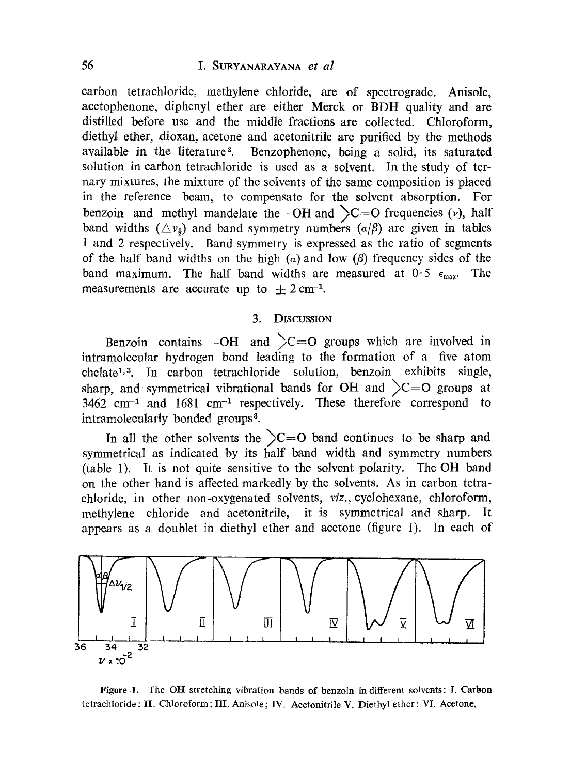carbon tetrachloride, methylene chloride, are of spectrograde. Anisole, acetophenone, diphenyl ether are either Merck or BDH quality and are distilled before use and the middle fractions are collected. Chloroform, diethyl ether, dioxan, acetone and acetonitrile are purified by the methods available in the literature<sup>2</sup>. Benzophenone, being a solid, its saturated solution in carbon tetrachloride is used as a solvent. In the study of ternary mixtures, the mixture of the solvents of the same composition is placed in the reference beam, to compensate for the solvent absorption. For benzoin and methyl mandelate the -OH and  $\sum C=O$  frequencies (v), half band widths  $(\triangle y_3)$  and band symmetry numbers  $(a/\beta)$  are given in tables 1 and 2 respectively. Band symmetry is expressed as the ratio of segments of the half band widths on the high  $(a)$  and low  $(\beta)$  frequency sides of the band maximum. The half band widths are measured at  $0.5 \epsilon_{\text{max}}$ . The measurements are accurate up to  $\pm 2 \text{ cm}^{-1}$ .

### 3. DISCUSSlON

Benzoin contains -OH and  $\angle C=O$  groups which are involved in intramolecular hydrogen bond leading to the formation of a five atom  $chelate<sup>1,3</sup>$ . In carbon tetrachloride solution, benzoin exhibits single, sharp, and symmetrical vibrational bands for OH and  $\mathcal{C}=O$  groups at  $3462$  cm<sup>-1</sup> and  $1681$  cm<sup>-1</sup> respectively. These therefore correspond to intramolecularly bonded groups<sup>3</sup>.

In all the other solvents the  $\sum_{n=0}^{\infty}$  band continues to be sharp and symmetrical as indicated by its half band width and symmetry numbers (table 1). It is not quite sensitive to the solvent polarity. The OH band on the other hand is affected markedly by the solvents. As in carbon tetrachloride, in other non-oxygenated solvents, *viz.*, *cyclohexane*, *chloroform*, methylene chloride and acetonitrile, it is symmetrical and sharp. It appears as a doublet in diethyl ether and acetone (figure 1). In each of



Figure 1. The OH stretching vibration bands of benzoin in different solvents: I. Carbon tetrachloride : II. Chloroform; III. Anisole; IV. Acefonitrile V. Diethyl ether: VI. Acetone,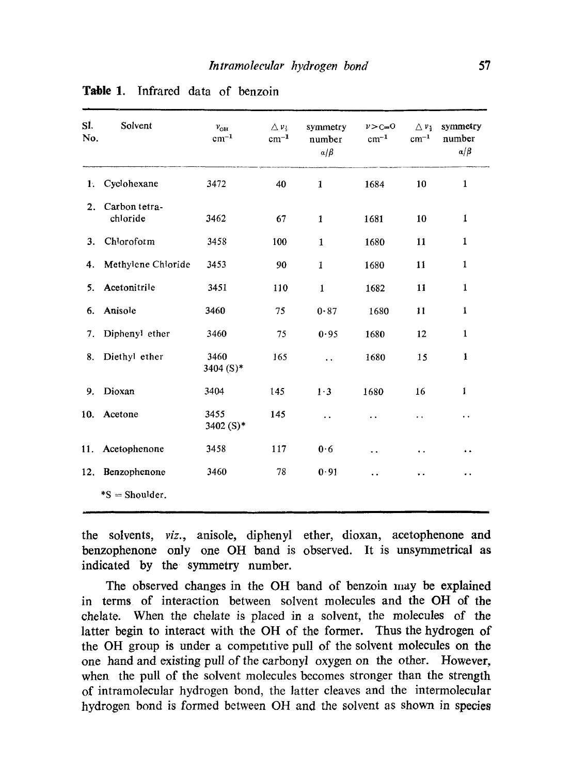| SI.<br>No. | Solvent                   | $v_{\text{OH}}$<br>$cm^{-1}$ | $\Delta v_{\rm i}$<br>$cm^{-1}$ | symmetry<br>number<br>$\alpha/\beta$ | $v > c = 0$<br>$cm^{-1}$ | $\triangle$ $v_3$<br>$cm^{-1}$ | symmetry<br>number<br>$\alpha/\beta$ |
|------------|---------------------------|------------------------------|---------------------------------|--------------------------------------|--------------------------|--------------------------------|--------------------------------------|
| Ŀ.         | Cyclohexane               | 3472                         | 40                              | $\mathbf{1}$                         | 1684                     | 10                             | 1                                    |
| 2.         | Carbon tetra-<br>chloride | 3462                         | 67                              | $\mathbf{1}$                         | 1681                     | 10                             | $\mathbf{1}$                         |
| 3.         | Chloroform                | 3458                         | 100                             | $\mathbf{1}$                         | 1680                     | 11                             | $\mathbf{1}$                         |
| 4.         | Methylene Chloride        | 3453                         | 90                              | $\mathbf{1}$                         | 1680                     | 11                             | $\mathbf{1}$                         |
| 5.         | Acetonitrile              | 3451                         | 110                             | $\mathbf{1}$                         | 1682                     | 11                             | 1                                    |
| 6.         | Anisole                   | 3460                         | 75                              | 0.87                                 | 1680                     | 11                             | 1                                    |
| 7.         | Diphenyl ether            | 3460                         | 75                              | 0.95                                 | 1680                     | 12                             | 1                                    |
| 8.         | Diethyl ether             | 3460<br>3404 (S)*            | 165                             | $\ddot{\phantom{1}}$                 | 1680                     | 15                             | 1                                    |
| 9.         | Dioxan                    | 3404                         | 145                             | $1\cdot3$                            | 1680                     | 16                             | 1                                    |
| 10.        | Acetone                   | 3455<br>3402 $(S)^*$         | 145                             | $\ddot{\phantom{1}}$                 | . .                      | . .                            | . .                                  |
| 11.        | Acetophenone              | 3458                         | 117                             | 0.6                                  | . .                      | ٠.                             | . .                                  |
| 12.        | Benzophenone              | 3460                         | 78                              | 0.91                                 | . .                      | . .                            | . .                                  |
|            | $*S =$ Shoulder.          |                              |                                 |                                      |                          |                                |                                      |

|  | <b>Table 1.</b> Infrared data of benzoin |  |  |
|--|------------------------------------------|--|--|
|  |                                          |  |  |

the solvents, *viz.,* anisole, diphenyl ether, dioxan, acetophenone and benzophenone only one OH band is observed. It is unsymmetrical as indicated by the symmetry number.

The observed changes in the OH band of benzoin may be explained in terms of interaction between solvent molecules and the OH of the chelate. When the chelate is placed in a solvent, the molecules of the latter begin to interact with the OH of the former. Thus the hydrogen of the OH group is under a competitive pull of the solvent molecules on the one hand and existing pull of the carbonyl oxygen on the other. However, when the pull of the solvent molecules becomes stronger than the strength of intramolecular hydrogen bond, the latter cleaves and the intermolecular hydrogen bond is formed between OH and the solvent as shown in speeies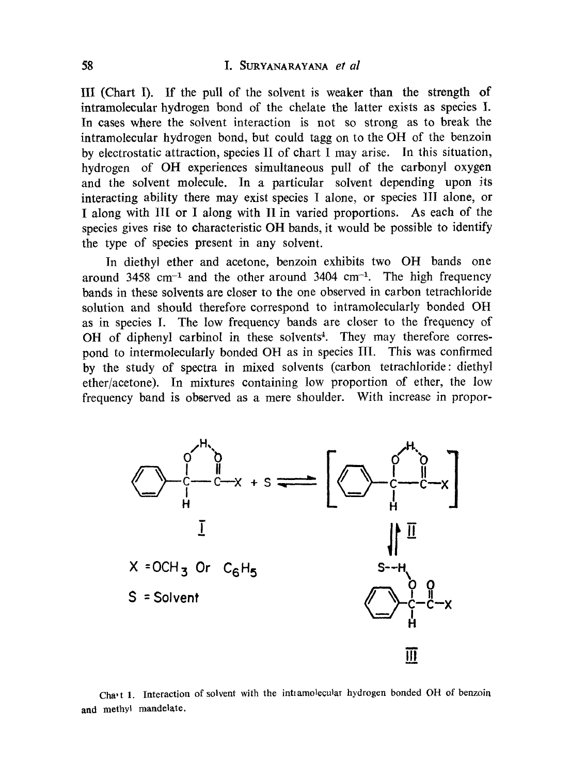## 58 I. SURYANARAYANA *et al*

III (Chart I). If the puU of the solvent is weaker than the strength of intramolecular hydrogen bond of the chelate the latter exists as species I. In cases where the solvent interaction is not so strong as to break the intramolecular hydrogen bond, but could tagg on to the OH of the benzoin by electrostatic attraction, species II of chart I may arise. In this situation, hydrogen of OH experiences simultaneous pull of the carbonyl oxygen and the solvent molecule. In a particular solvent depending upon its interacting ability there may exist species I alone, or species 11I alone, or I along with 1II or I along with 1I in varied proportions. As each of the species gives rise to characteristic OH bands, it would be possible to identify the type of species present in any solvent.

In diethyl ether and acetone, benzoin exhibits two OH bands one around  $3458$  cm<sup>-1</sup> and the other around  $3404$  cm<sup>-1</sup>. The high frequency bands in these solvents are closer to the one observed in carbon tetrachloride solution and should therefore correspond to intramolecularly bonded OH as in species I. The low frequency bands are closer to the frequency of OH of diphenyl carbinol in these solvents<sup>4</sup>. They may therefore correspond to intermolecularly bonded OH as in species III. This was confirmed by the study of spectra in mixed solvents (carbon tetrachloride: diethyl ether/acetone). In mixtures containing low proportion of ether, the low frequency band is observed as a mere shoulder. With increase in propor-



Cha<sup>,</sup> t 1. Interaction of solvent with the intramolecular hydrogen bonded OH of benzoin and methyl mandelate,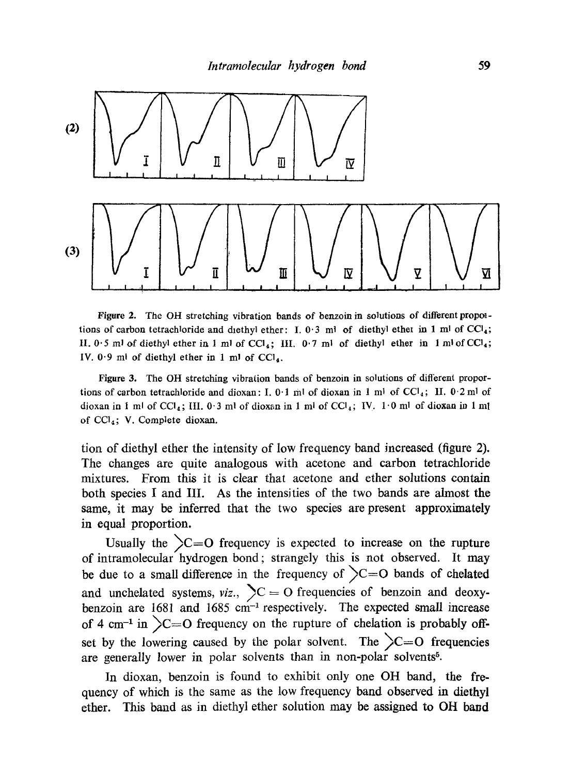

Figure 2. The OH stretching vibration bands of benzoin in solutions of different propoltions of carbon tetrachloride and diethyl ether: I. 0.3 ml of diethyl ether in 1 ml of  $CCl_4$ ; II.  $0.5$  ml of diethyl ether in 1 ml of CCl<sub>4</sub>; III.  $0.7$  ml of diethyl ether in 1 ml of CCl<sub>4</sub>; IV.  $0.9$  ml of diethyl ether in 1 ml of CCl<sub>4</sub>.

Figure 3. The OH stretching vibration bands of benzoin in solutions of different proportions of carbon tetrachloride and dioxan: I. 0.1 ml of dioxan in 1 ml of CCl<sub>4</sub>; II. 0.2 ml of dioxan in 1 ml of CCl<sub>4</sub>; III. 0.3 ml of dioxan in 1 ml of CCl<sub>4</sub>; IV. 1.0 ml of dioxan in 1 ml of CC14; V. Complete dioxan.

tion of diethyl ether the intensity of low frequency band increased (figure 2). The changes are quite analogous with acetone and carbon tetrachloride mixtures. Erom thiz it is clear that acetone and ether solutions contain both species I and III. As the intensities of the two bands are almost the same, it may be inferred that the two species are present approximately in equal proportion.

Usually the  $\sum$  = O frequency is expected to increase on the rupture of intramolecular hydrogen bond; strangely this is not observed. It may be due to a small difference in the frequency of  $\sum C = O$  bands of chelated and unchelated systems,  $viz.$ ,  $\sum C = O$  frequencies of benzoin and deoxybenzoin are  $1681$  and  $1685$  cm<sup>-1</sup> respectively. The expected small increase of 4 cm<sup>-1</sup> in  $\sum$  = O frequency on the rupture of chelation is probably offset by the lowering caused by the polar solvent. The  $\sum$  = O frequencies are generally lower in polar solvents than in non-polar solvents<sup>5</sup>.

In dioxan, benzoin is found to exhibit only one OH band, the frequency of which is the same as the low frequency band observed in diethyl ether. This band as in diethyl ether solution may be assigned to OH band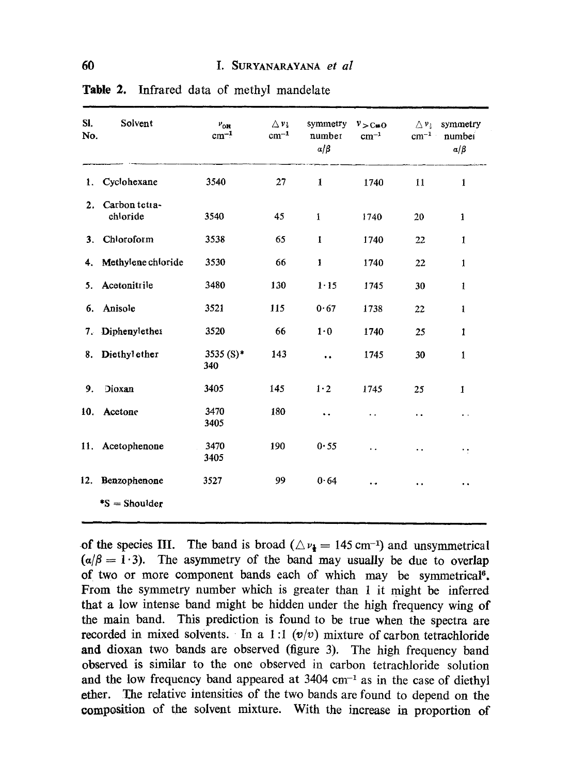| SI.<br>No.     | Solvent                   | $v_{\rm crit}$<br>$cm^{-1}$ | $\Delta v_k$<br>$cm^{-1}$ | symmetry<br>number<br>$a/\beta$ | $v > c \neq 0$<br>$cm^{-1}$ | $\triangle$ $v_{3}$<br>$cm^{-1}$ | symmetry<br>numbei<br>$\alpha/\beta$ |
|----------------|---------------------------|-----------------------------|---------------------------|---------------------------------|-----------------------------|----------------------------------|--------------------------------------|
| 1.             | Cyclohexane               | 3540                        | 27                        | 1                               | 1740                        | 11                               | 1                                    |
| 2.             | Carbon tetta-<br>chloride | 3540                        | 45                        | $\mathbf{1}$                    | 1740                        | 20                               | 1                                    |
| 3 <sub>1</sub> | Chloroform                | 3538                        | 65                        | $\mathbf{1}$                    | 1740                        | 22                               | 1                                    |
| 4.             | Methylene chloride        | 3530                        | 66                        | $\mathbf{1}$                    | 1740                        | 22                               | 1                                    |
| 5.             | Acetonitrile              | 3480                        | 130                       | $1 - 15$                        | 1745                        | 30                               | 1                                    |
| 6.             | Anisole                   | 3521                        | 115                       | 0.67                            | 1738                        | 22                               | 1                                    |
| 7.             | Diphenylether             | 3520                        | 66                        | $1 \cdot 0$                     | 1740                        | 25                               | 1                                    |
| 8.             | Diethyl ether             | $3535(S)^*$<br>340          | 143                       | $\ddot{\phantom{0}}$            | 1745                        | 30                               | 1                                    |
| 9.             | Dioxan                    | 3405                        | 145                       | 1.2                             | 1745                        | 25                               | 1                                    |
| 10.            | Acetone                   | 3470<br>3405                | 180                       | $\ddot{\phantom{0}}$            | . .                         | . .                              | $\bullet \rightarrow$                |
|                | 11. Acetophenone          | 3470<br>3405                | 190                       | 0.55                            | ٠.                          | . .                              | $\cdot$ :                            |
| 12.            | Benzophenone              | 3527                        | 99                        | 0.64                            | ٠.                          | . .                              | . .                                  |
|                | $\text{*S} =$ Shoulder    |                             |                           |                                 |                             |                                  |                                      |

Table 2. Infrared data of methyl mandelate

**of the species III.** The band is broad  $(\triangle \nu_1 = 145 \text{ cm}^{-1})$  and unsymmetrical  $(a/\beta = 1.3)$ . The asymmetry of the band may usually be due to overlap of two or more component bands each of which may be symmetrical<sup>6</sup>. **From the symmetry number which is greater than 1 it might be inferred that a low intense band might be hidden under the high frequency wing of the main band. This prediction is found to be true when the spectra are recorded in mixed solvents.** In a 1:1  $(v/v)$  mixture of carbon tetrachloride **and dioxan two bands are observed (figure 3). The high frequency band observed is similar to the one observed in carbon tetrachloride solution**  and the low frequency band appeared at 3404 cm<sup>-1</sup> as in the case of diethyl **ether. The relative intensities of the two bands are found to depend on the eomposition of the solvent mixture. With the increase in proportion of**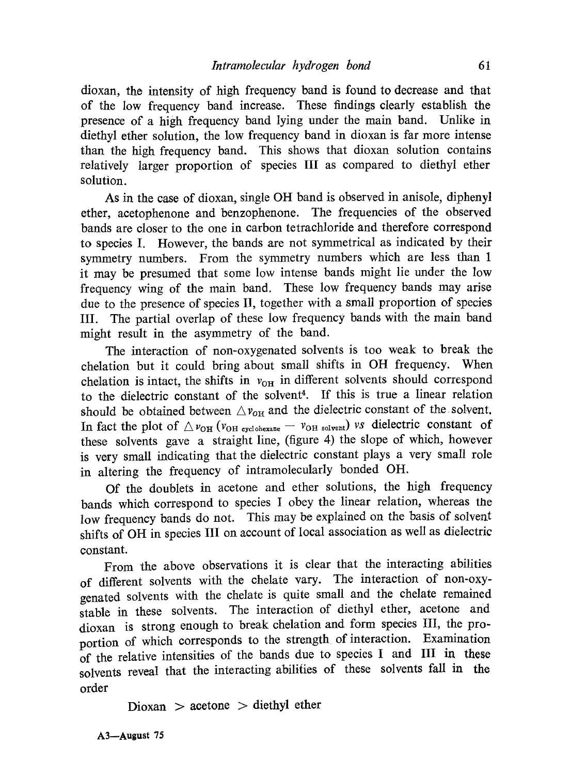dioxan, the intensity of high frequency band is found to decrease and that of the low frequency band increase. These findings clearly establish the presence of a high frequency band lying under the main band. Unlike in diethyl ether solution, the low frequency band in dioxan is far more intense than the high frequency band. This shows that dioxan solution contains relatively larger proportion of species III as compared to diethyl ether solution.

As in the case of dioxan, single OH band is observed in anisole, diphenyl ether, acetophenone and benzophenone. The frequencies of the observed bands are closer to the one in carbon tetrachloride and therefore correspond to species I. However, the bands are not symmetrical as indicated by their symmetry numbers. From the symmetry numbers which are less than 1 it may be presumed that some low intense bands might lie under the low frequency wing of the main band. These low frequency bands may arise due to the presence of species II, together with a small proportion of species III. The partial overlap of these low frequency bands with the main band might result in the asymmetry of the band.

The interaction of non-oxygenated solvents is too weak to break the chelation but it could bring about small shifts in OH frequency. When chelation is intact, the shifts in  $v_{OH}$  in different solvents should correspond to the dielectric constant of the solvent<sup>4</sup>. If this is true a linear relation should be obtained between  $\triangle v_{\text{OH}}$  and the dielectric constant of the solvent. In fact the plot of  $\triangle v_{\text{OH}} (v_{\text{OH cyclohexane}} - v_{\text{OH solvent}})$  *vs* dielectric constant of these solvents gave a straight line, (figure 4) the slope of which, however is very small indicating that the dielectric constant plays a very small role in altering the frequency of intramolecularly bonded OH.

Of the doublets in acetone and ether solutions, the high frequency bands which correspond to species I obey the linear relation, whereas the low frequency bands do not. This may be explained on the basis of solvent shifts of OH in species III on account of local association as well as dielectric constant.

From the above observations it is clear that the interacting abilities of different solvents with the chelate vary. The interaction of non-oxygenated solvents with the chelate is quite small and the chelate remained stable in these solvents. The interaction of diethyl ether, acetone and dioxan is strong enough to break chelation and forro species III, the proportion of which corresponds to the strength of interaction. Examination of the relative intensities of the bands due to species I and III in these solvents reveal that the interacting abilifies of these solvents fall in the order

 $Dioxan > aceton$ ether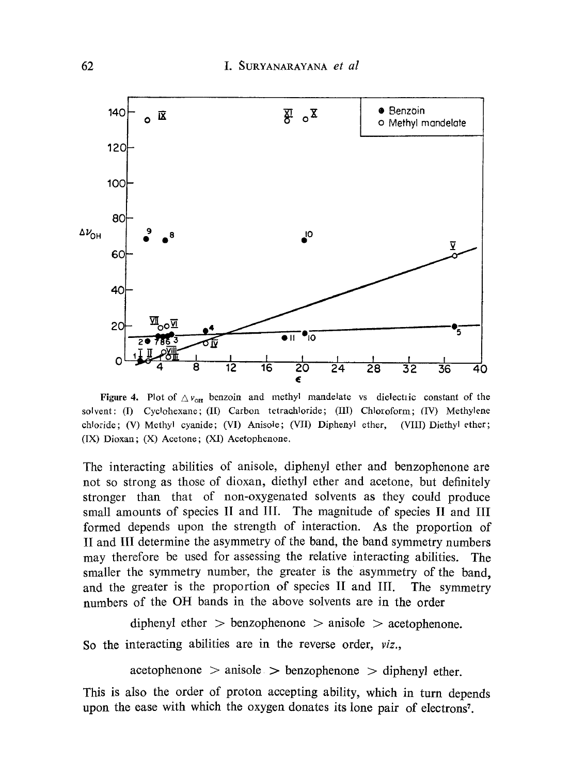

Figure 4. Plot of  $\Delta v_{\text{off}}$  benzoin and methyl mandelate vs dielectric constant of the solvent: (I) *Cyclohexane*; (II) *Carbon tetrachloride*; (III) *Chloroform*; (IV) Methylene chloride; (V) Methyl cyanide; (VI) Anisole; (VII) Diphenyl ether, (VIII) Diethyl ether; (IX) Dioxan; (X) Acetone; (XI) Acetophenone.

The interacting abilities of anisole, diphenyl ether and benzophenone are not so strong as those of dioxan, diethyl ether and acetone, but definitely stronger than that of non-oxygenated solvents as they could produce small amounts of species II and III. The magnitude of species II and III formed depends upon the strength of interaction. As the proportion of II and I[I determine the asymmetry of the band, the band symmetry numbers may therefore be used for assessing the relative interacting abilities. The smaller the symmetry number, the greater is the asymmetry of the band, and the greater is the proportion of species II and III. The symmetry numbers of the OH bands in the above solvents are in the order

```
diphenyl ether > benzophenone > anisole > acetophenone.
```
So the interacting abilities are in the reverse order, *viz.,* 

 $a$ cetophenone  $>$  anisole  $>$  benzophenone  $>$  diphenyl ether.

This is also the order of proton accepting ability, which in turn depends upon the ease with which the oxygen donates its lone pair of electrons<sup>7</sup>.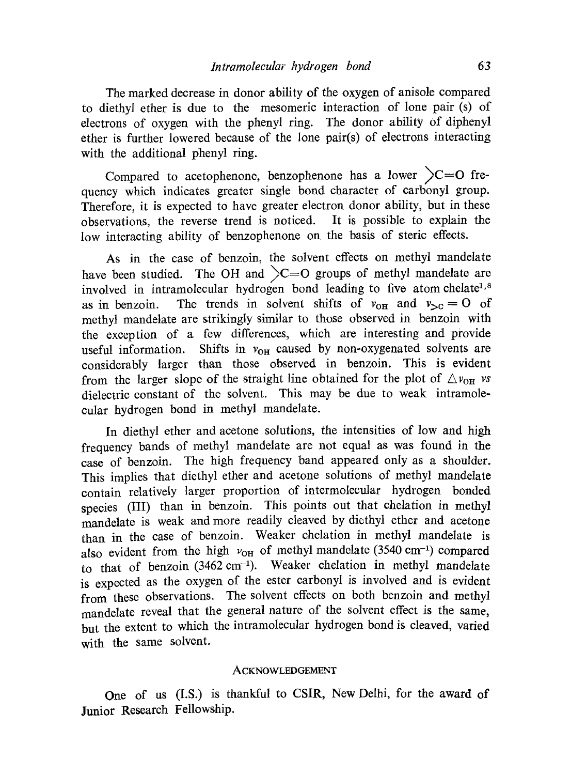The marked decrease in donor ability of the oxygen of anisole compared to diethyl ether is due to the mesomeric interaction of lone pair (s) of electrons of oxygen with the phenyl ring. The donor ability of diphenyl ether is further lowered because of the lone pair(s) of electrons interacting with the additional phenyl ring.

Compared to acetophenone, benzophenone has a lower  $\geq C=O$  frequency which indicates greater single bond character of carbonyl group. Therefore, it is expected to have greater electron donor ability, but in these observations, the reverse trend is noticed. It is possible to explain the low interacting ability of benzophenone on the basis of steric effects.

As in the case of benzoin, the solvent effects on methyl mandelate have been studied. The OH and  $\geq C=O$  groups of methyl mandelate are involved in intramolecular hydrogen bond leading to five atom chelate<sup>1,8</sup> as in benzoin. The trends in solvent shifts of  $v_{\text{OH}}$  and  $v_{\text{O}} = 0$  of methyl mandelate are strikingly similar to those observed in benzoin with the exception of a few differences, which are interesting and provide useful information. Shifts in  $v_{OH}$  caused by non-oxygenated solvents are considerably larger than those observed in benzoin. This is evident from the larger slope of the straight line obtained for the plot of  $\triangle v_{\text{OH}}$  *vs* dielectric constant of the solvent. This may be due to weak intramolecular hydrogen bond in methyl mandelate.

In diethyl ether and acetone solutions, the intensities of low and high frequency bands of methyl mandelate are not equal as was found in the case of benzoin. The high frequency band appeared only as a shoulder. This implies that diethyl ether and acetone solutions of methyl mandelate contain relatively larger proportion of intermolecular hydrogen bonded species (III) than in benzoin. This points out that chelation in methyl mandelate is weak and more readily cleaved by diethyl ether and acetone than in the case of benzoin. Weaker chelation in methyl mandelate is also evident from the high  $v_{OH}$  of methyl mandelate (3540 cm<sup>-1</sup>) compared to that of benzoin (3462 cm<sup>-1</sup>). Weaker chelation in methyl mandelate is expected as the oxygen of the ester carbonyl is involved and is evident from these observations. The solvent effects on both benzoin and methyl mandelate reveal that the general nature of the solvent effect is the same, but the extent to which the intramolecular hydrogen bond is cleaved, varied with the same solvent.

#### ACKNOWLEDGEMENT

One of us (I.S.) is thankful to CSIR, New Delhi, for the award of Junior Research Fellowship.